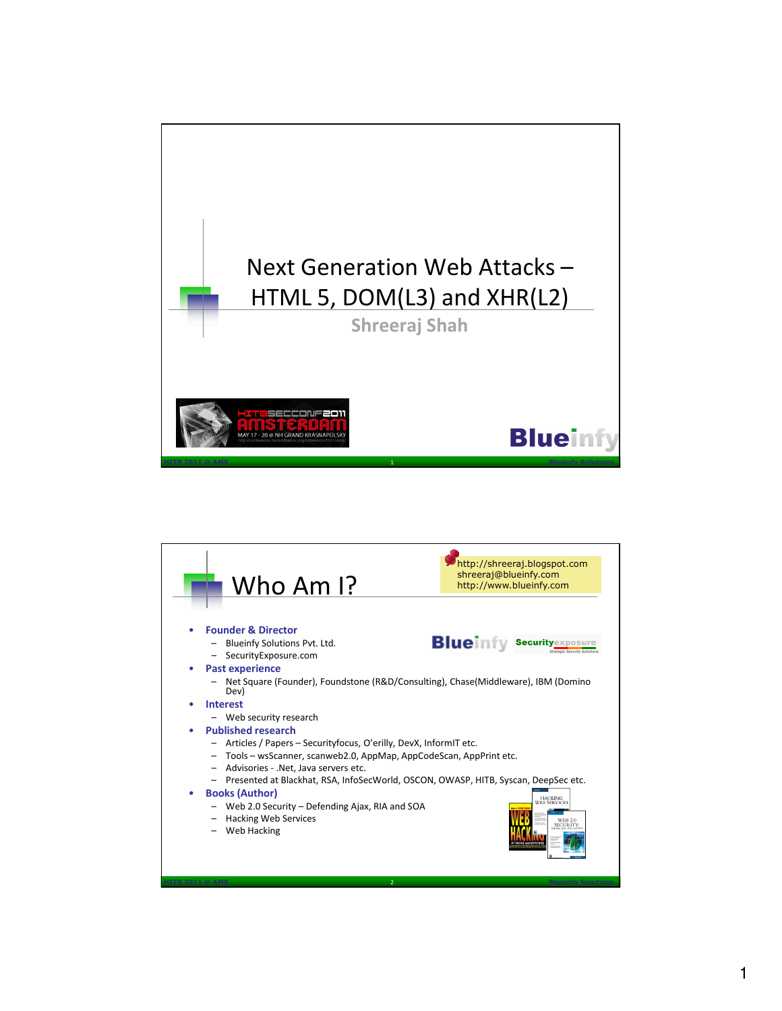

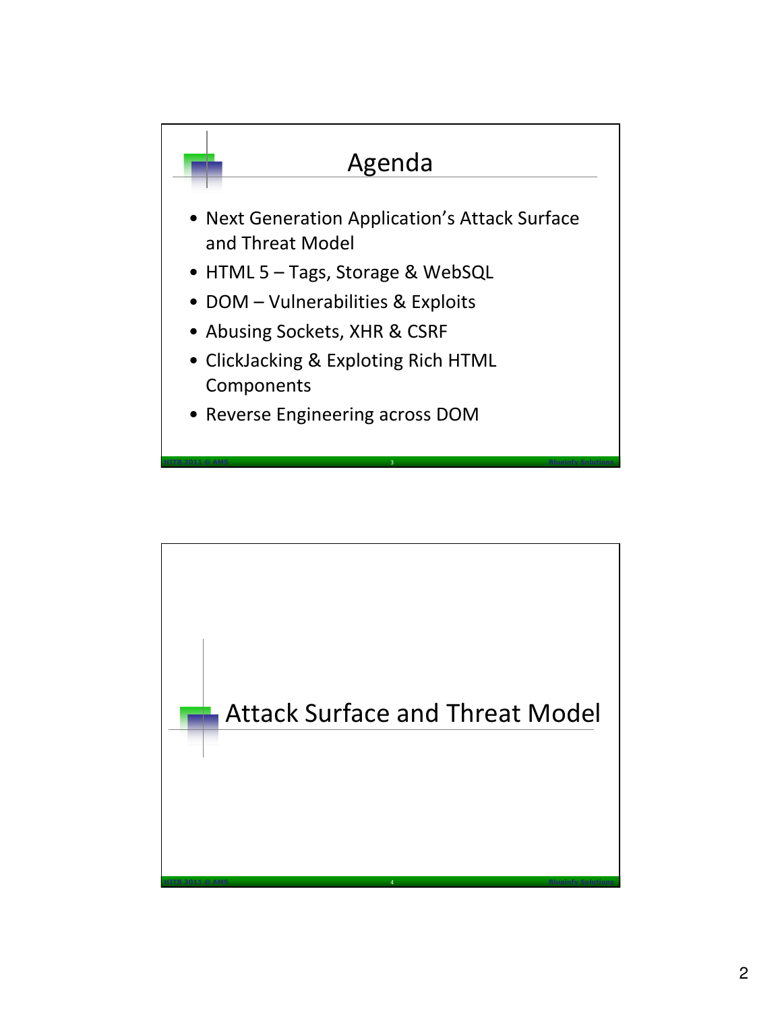

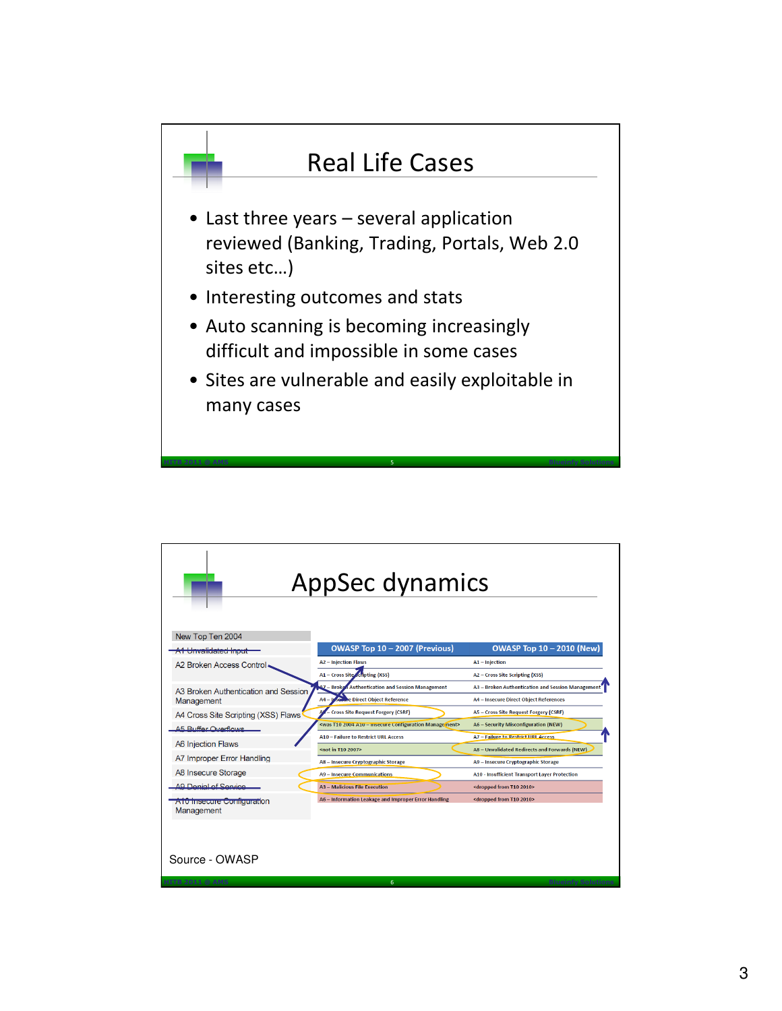

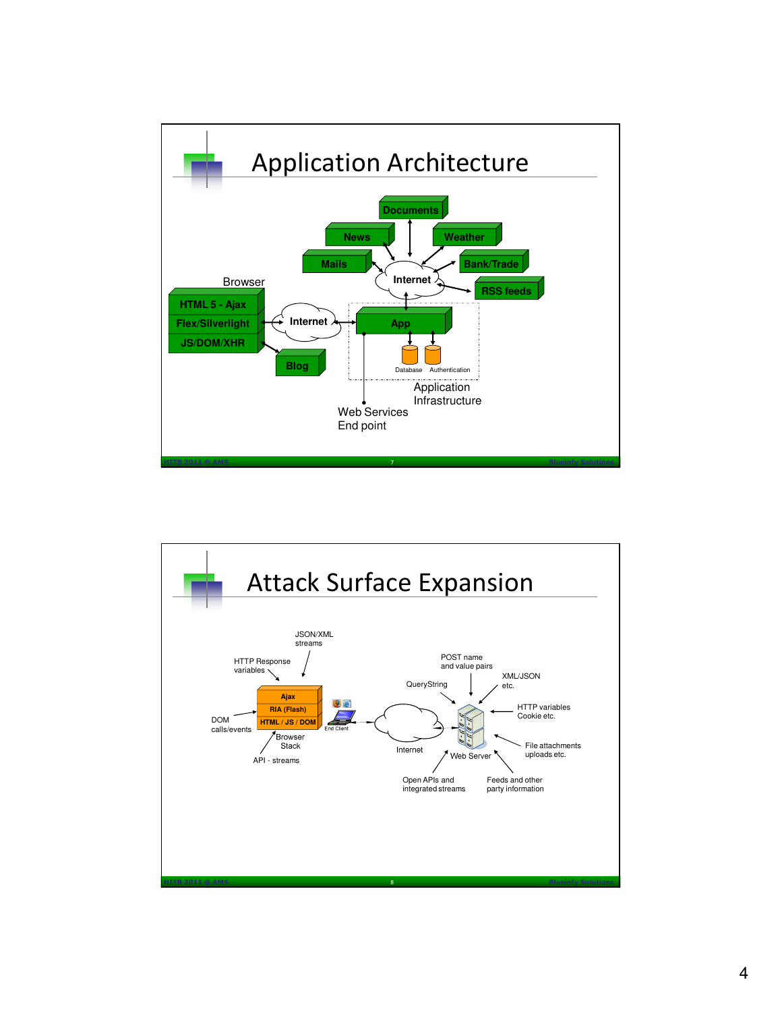

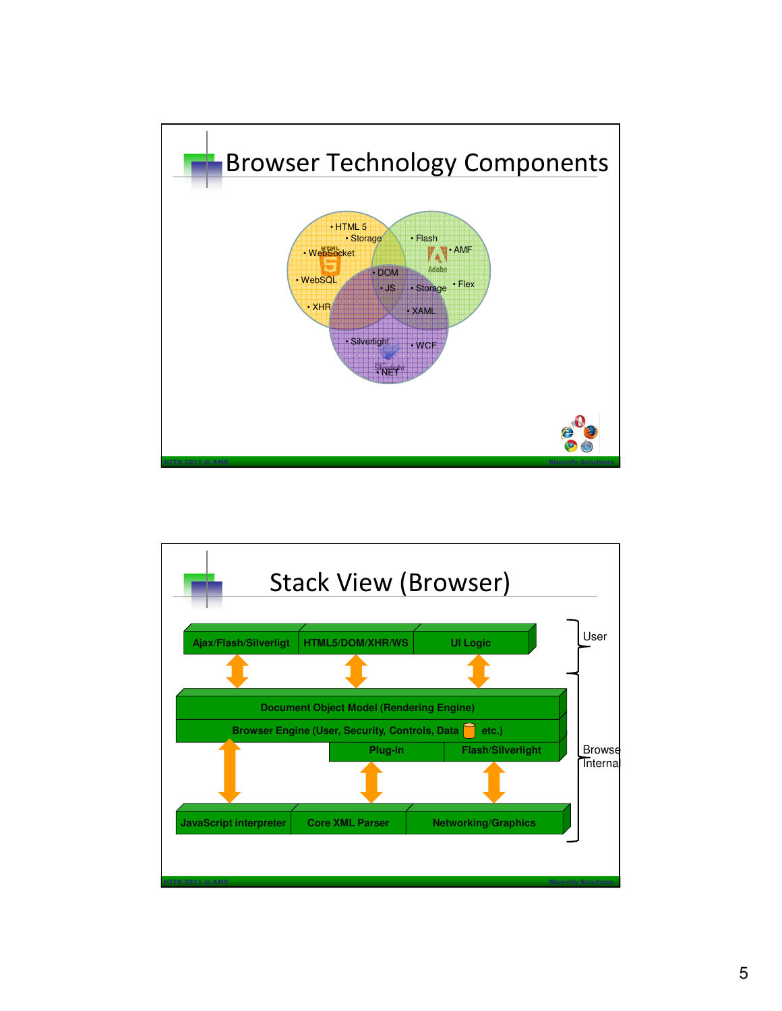

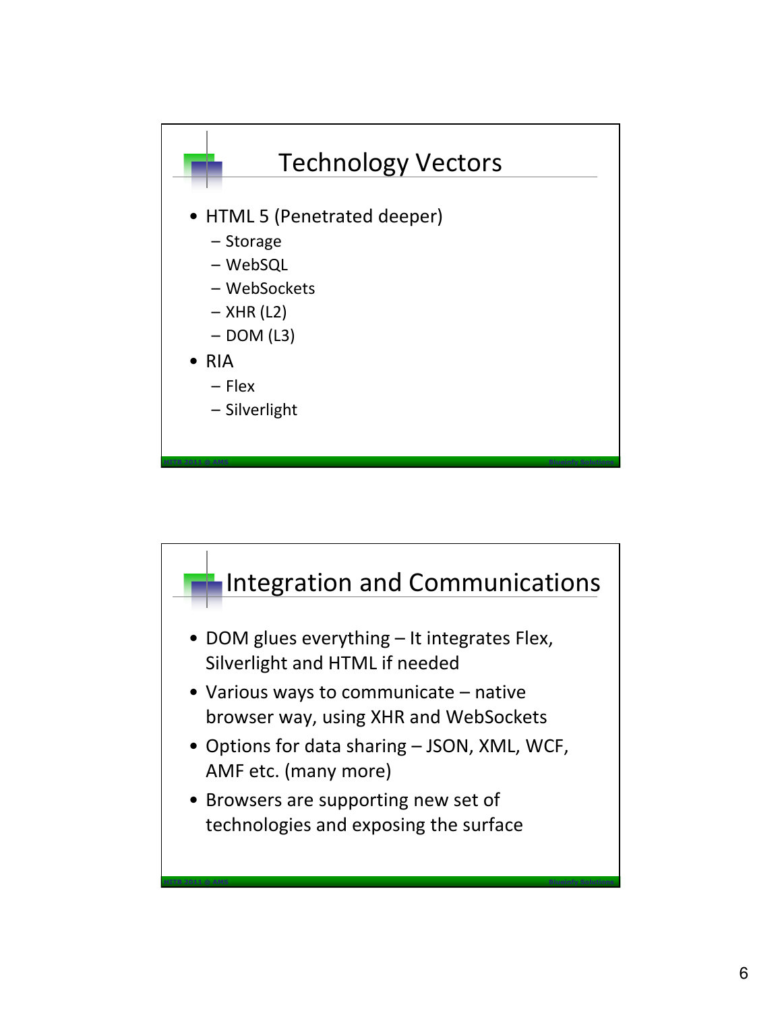

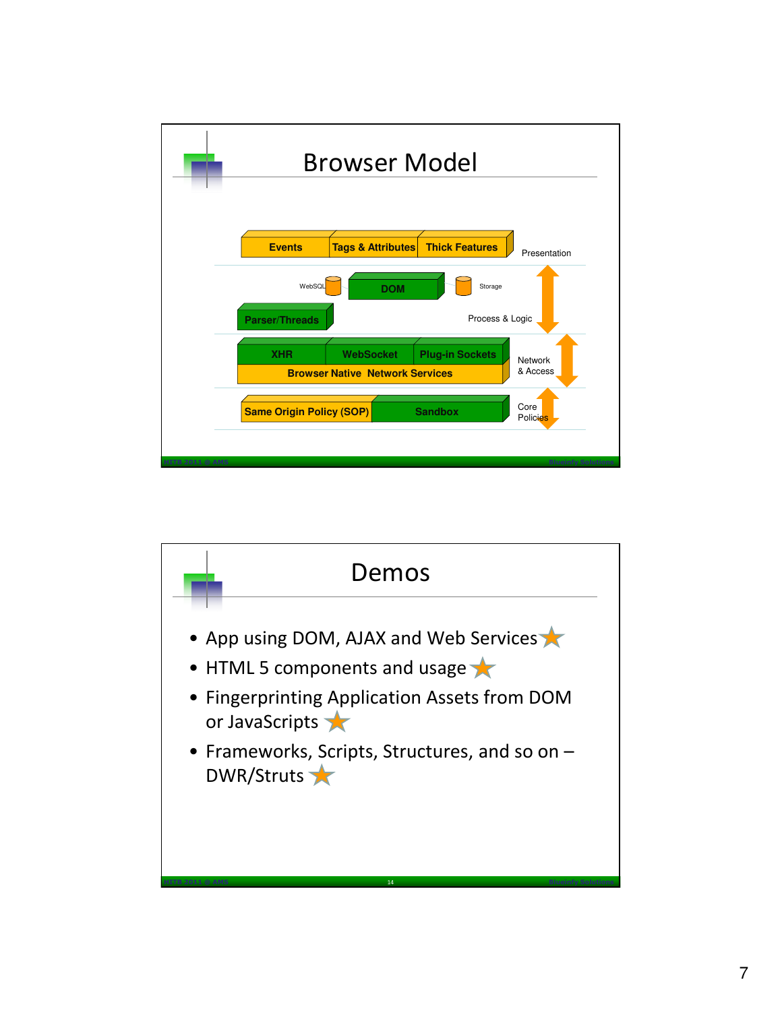

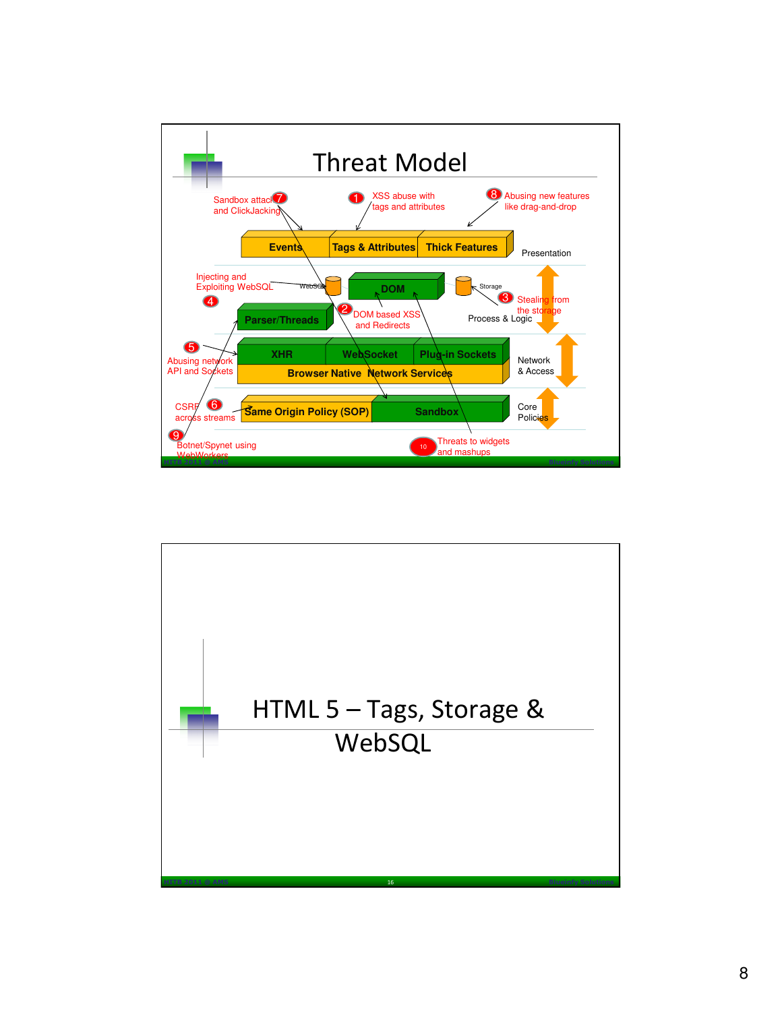

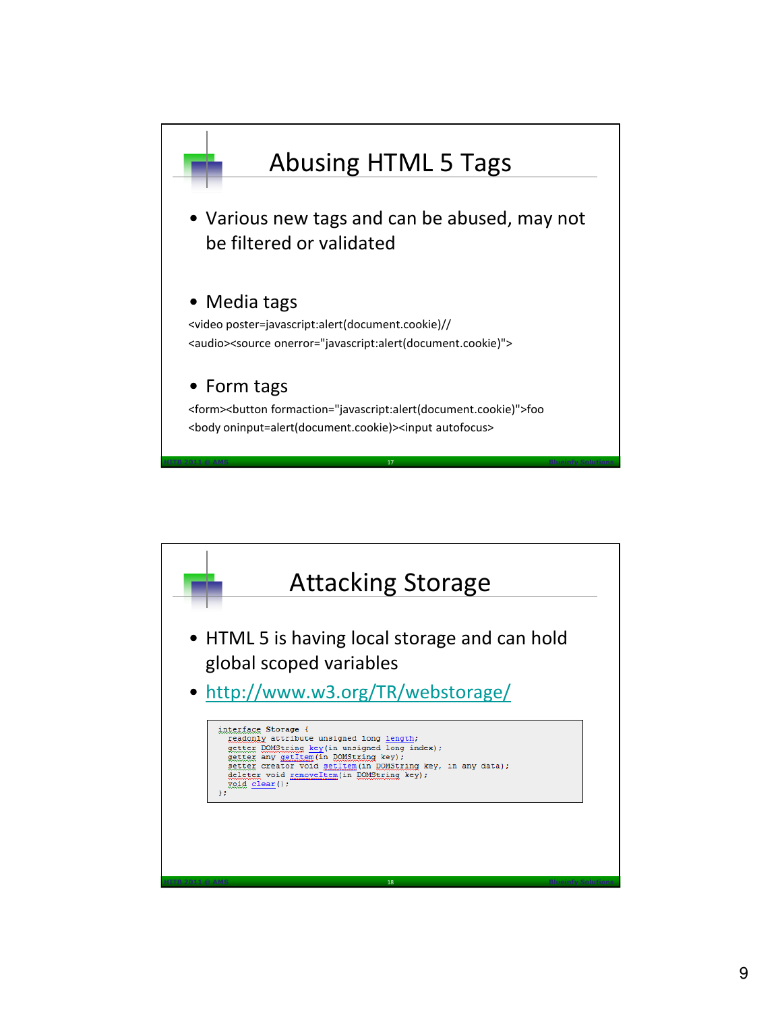

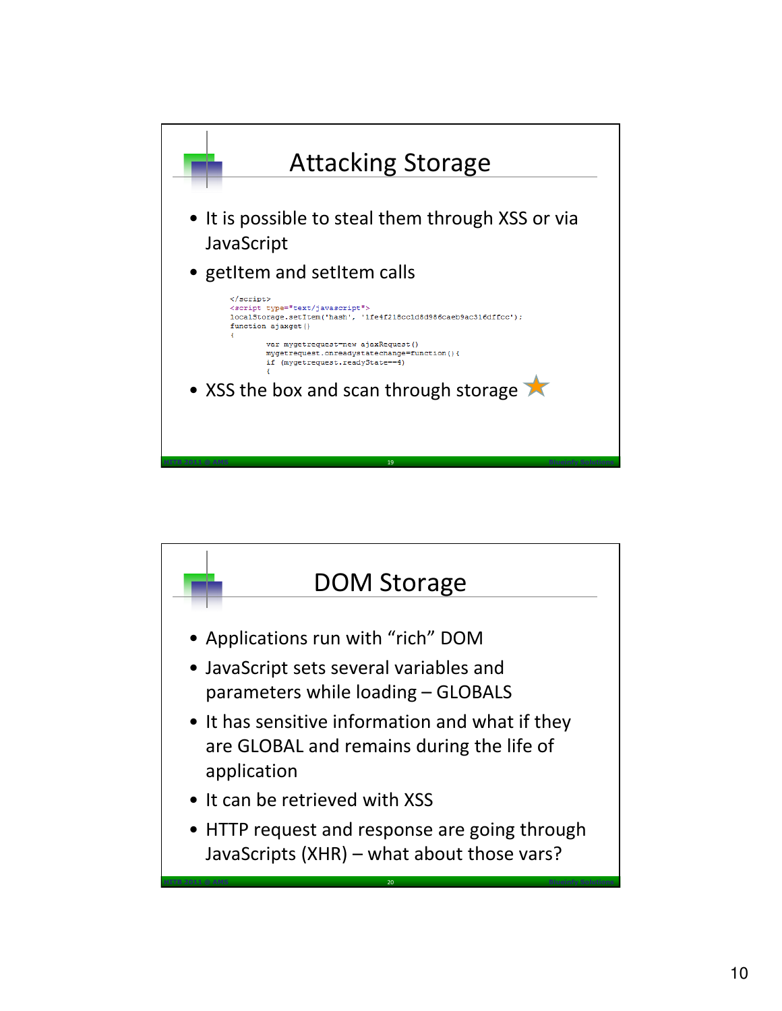

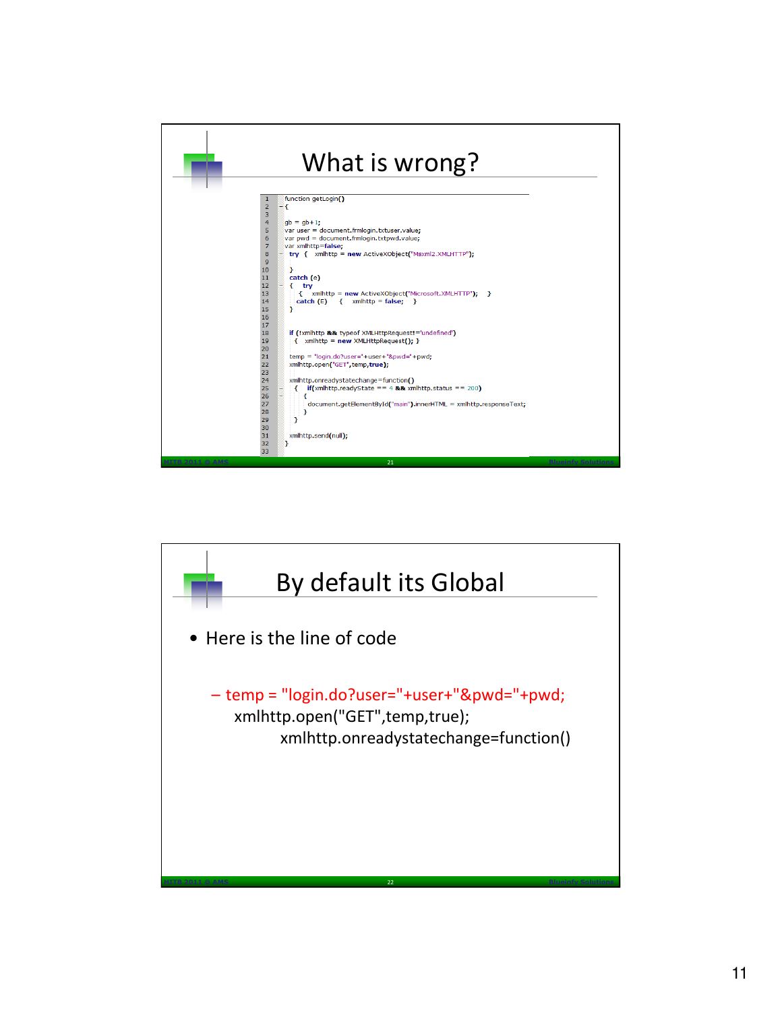

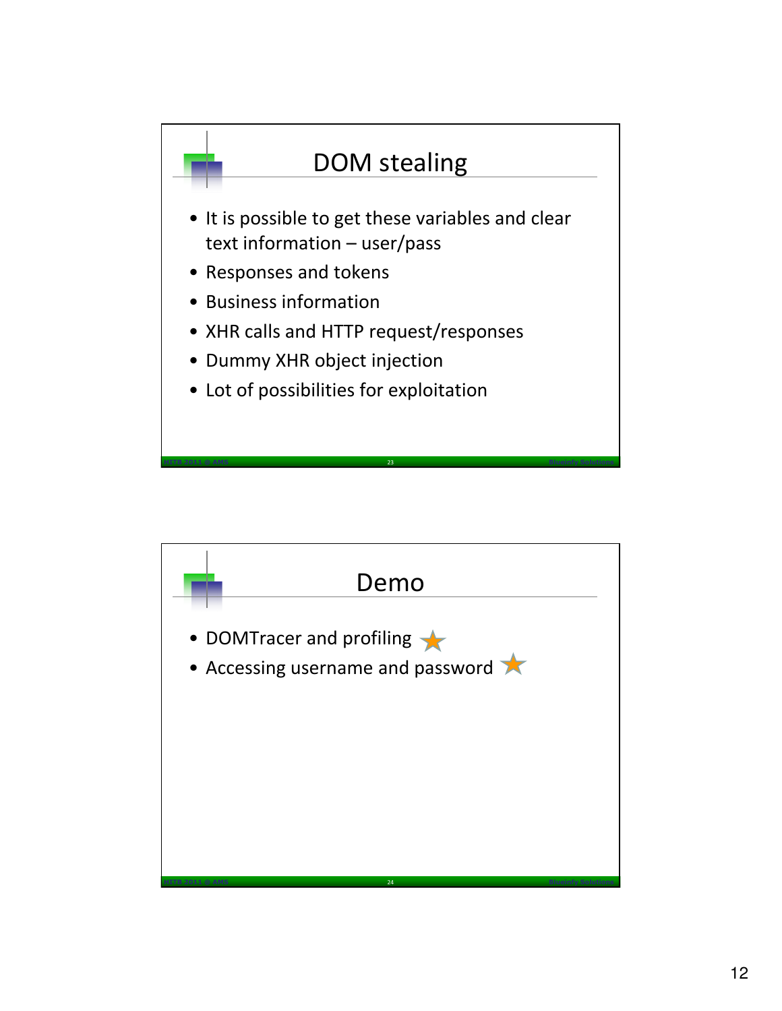

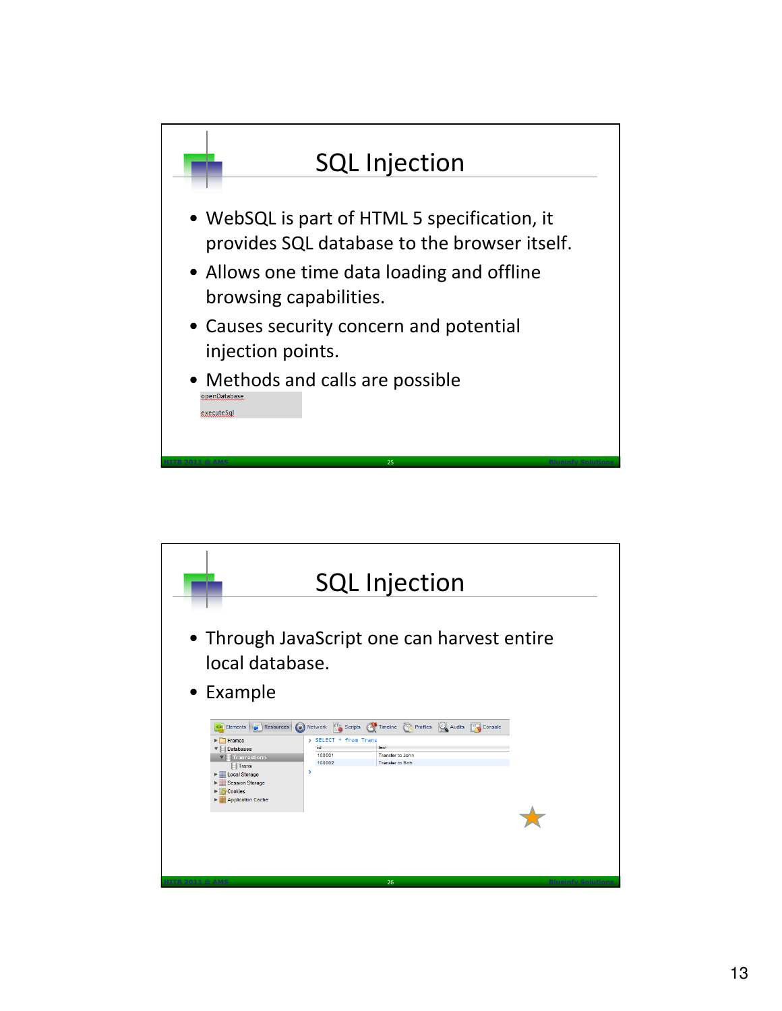

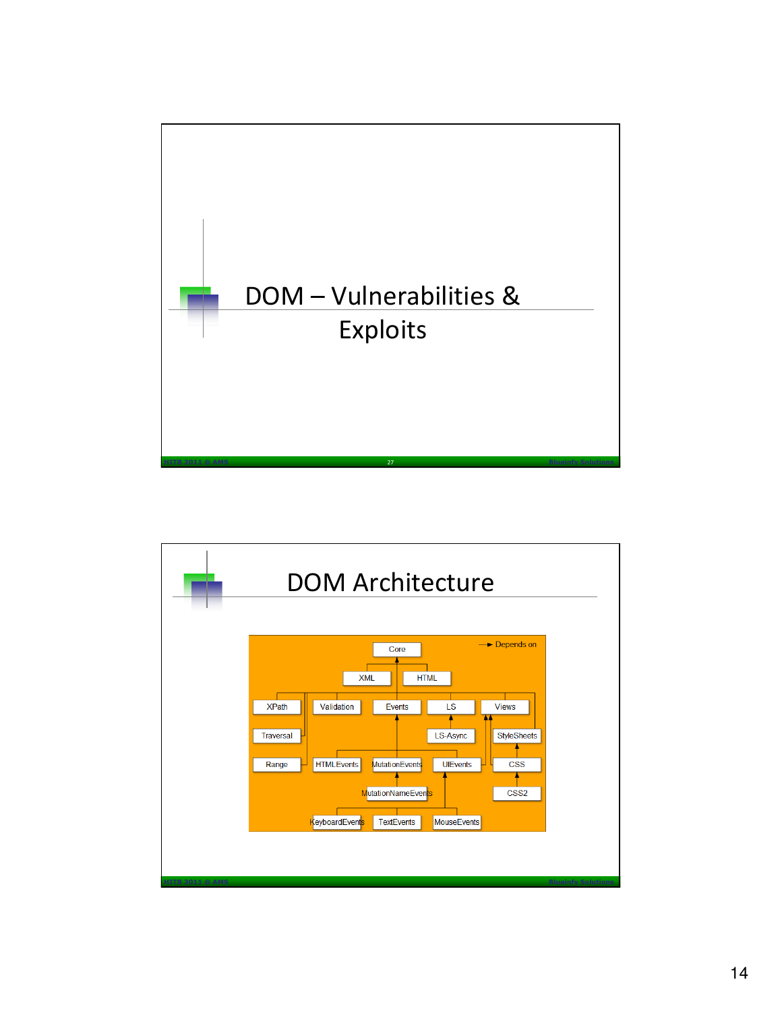

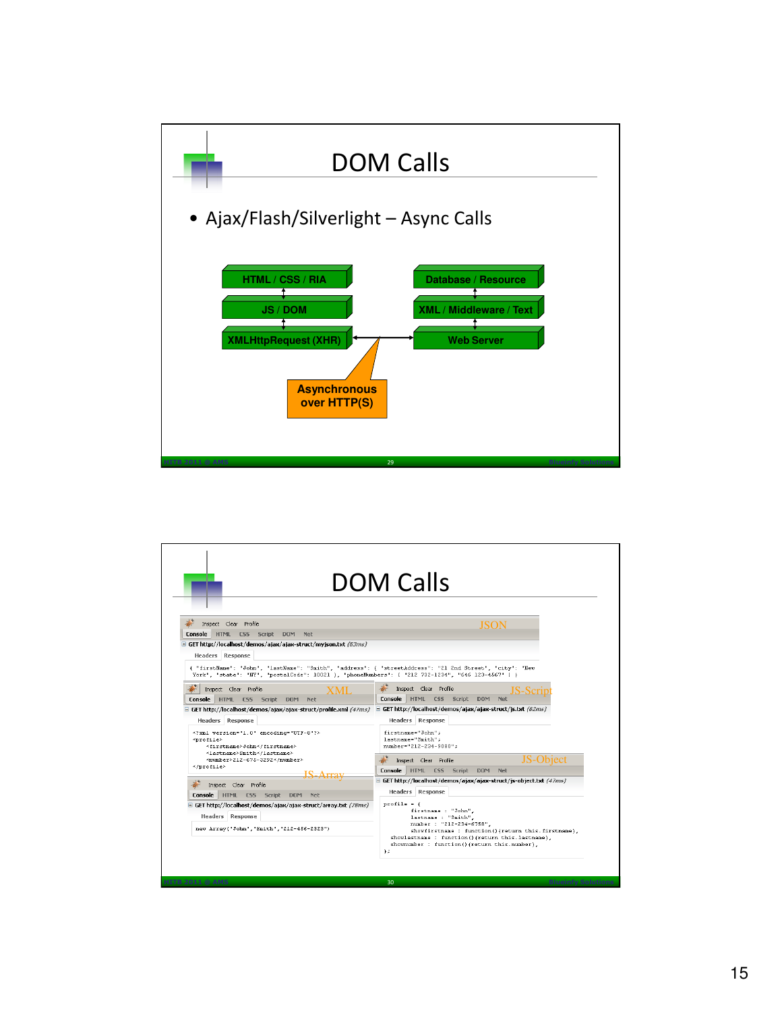

| <b>DOM Calls</b>                                                                                                                                                                                             |                                                                                                                                                                   |
|--------------------------------------------------------------------------------------------------------------------------------------------------------------------------------------------------------------|-------------------------------------------------------------------------------------------------------------------------------------------------------------------|
|                                                                                                                                                                                                              |                                                                                                                                                                   |
| Console HTML CSS Script DOM<br>Net                                                                                                                                                                           |                                                                                                                                                                   |
| $\Xi$ GET http://localhost/demos/ajax/ajax-struct/myjson.txt (63ms)                                                                                                                                          |                                                                                                                                                                   |
| <b>Headers</b> Response                                                                                                                                                                                      |                                                                                                                                                                   |
| ( "firstName": "John", "lastName": "Smith", "address": { "streetAddress": "21 2nd Street", "city": "New<br>York", "state": "NY", "postalCode": 10021 }, "phoneNumbers": [ "212 732-1234", "646 123-4567" ] } |                                                                                                                                                                   |
| Inspect Clear Profile<br><b>XMI</b>                                                                                                                                                                          | Inspect Clear Profile<br>I <b>S-S</b> cri                                                                                                                         |
| Console HTML CSS Script DOM<br>Net                                                                                                                                                                           | Console HTML CSS Script DOM<br>Net                                                                                                                                |
| GET http://localhost/demos/ajax/ajax-struct/profile.xml (47ms)                                                                                                                                               | $\Box$ GET http://localhost/demos/ajax/ajax-struct/js.txt (62ms)                                                                                                  |
| <b>Headers</b> Response                                                                                                                                                                                      | <b>Headers</b> Response                                                                                                                                           |
| xml version="1.0" encoding="UTF-8"?<br><profile><br/><firstname>John</firstname></profile>                                                                                                                   | firstname="John";<br>lastname="Smith":<br>number="212-234-9080";                                                                                                  |
| <lastname>Smith</lastname><br><number>212-675-3292</number>                                                                                                                                                  |                                                                                                                                                                   |
|                                                                                                                                                                                                              | JS-Object<br>Inspect Clear Profile                                                                                                                                |
|                                                                                                                                                                                                              | Console HTML CSS Script<br><b>DOM</b><br>Net<br>GET http://localhost/demos/ajax/ajax-struct/js-object.txt (47ms)                                                  |
| Inspect Clear Profile                                                                                                                                                                                        |                                                                                                                                                                   |
| <b>Console</b><br>HTML CSS Script DOM Net                                                                                                                                                                    | <b>Headers</b> Response                                                                                                                                           |
| E GET http://localhost/demos/ajax/ajax-struct/array.txt (78ms)<br><b>Headers Response</b>                                                                                                                    | $profile = f$<br>firstname : "John",<br>lastname : "Smith",<br>number : "212-234-6758".                                                                           |
| new Array("John", "Smith", "212-456-2323")                                                                                                                                                                   | showfirstname : function() {return this. firstname},<br>showlastname : function() {return this. lastname},<br>shownumber : function(){return this.number}.<br>) s |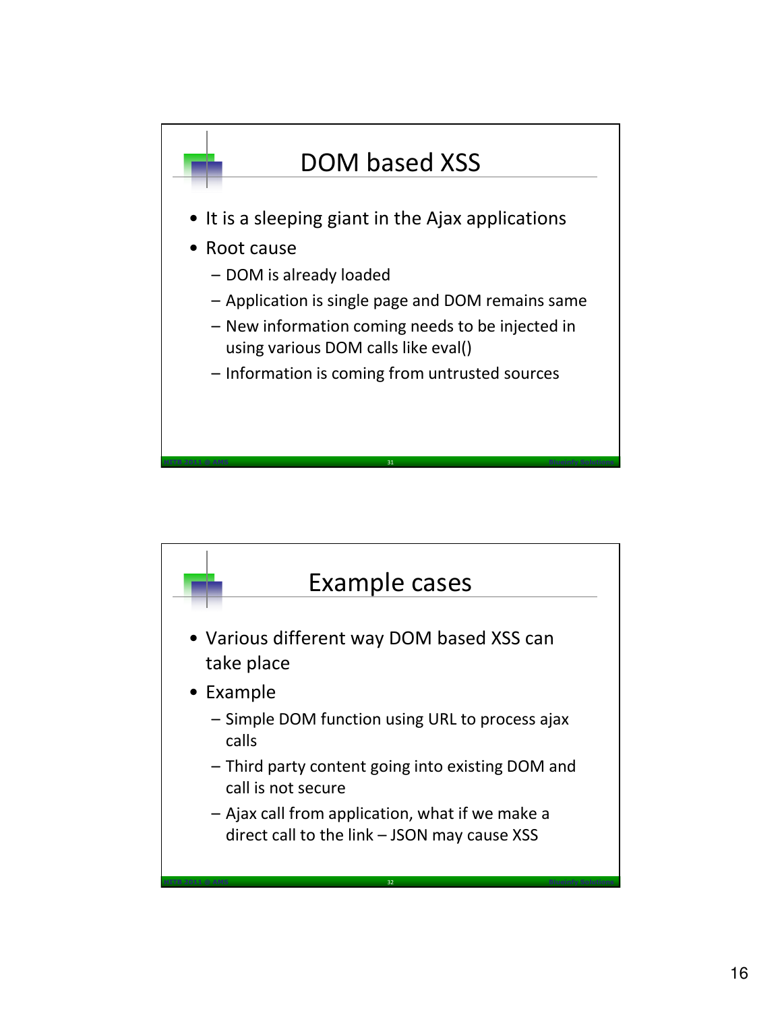

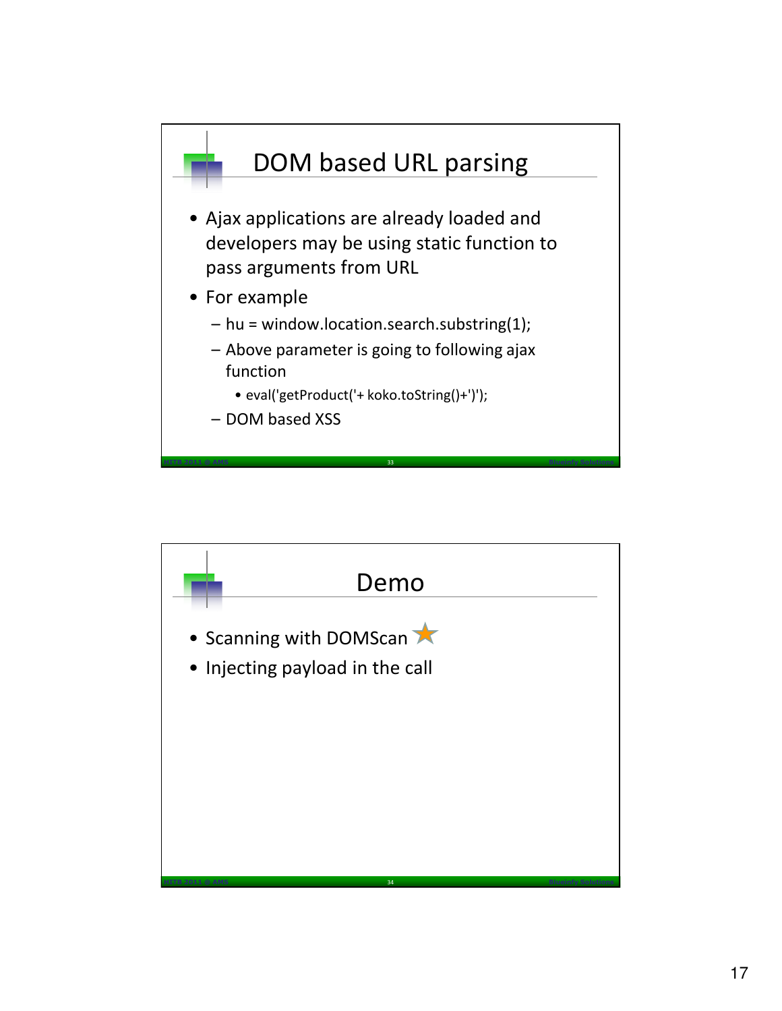

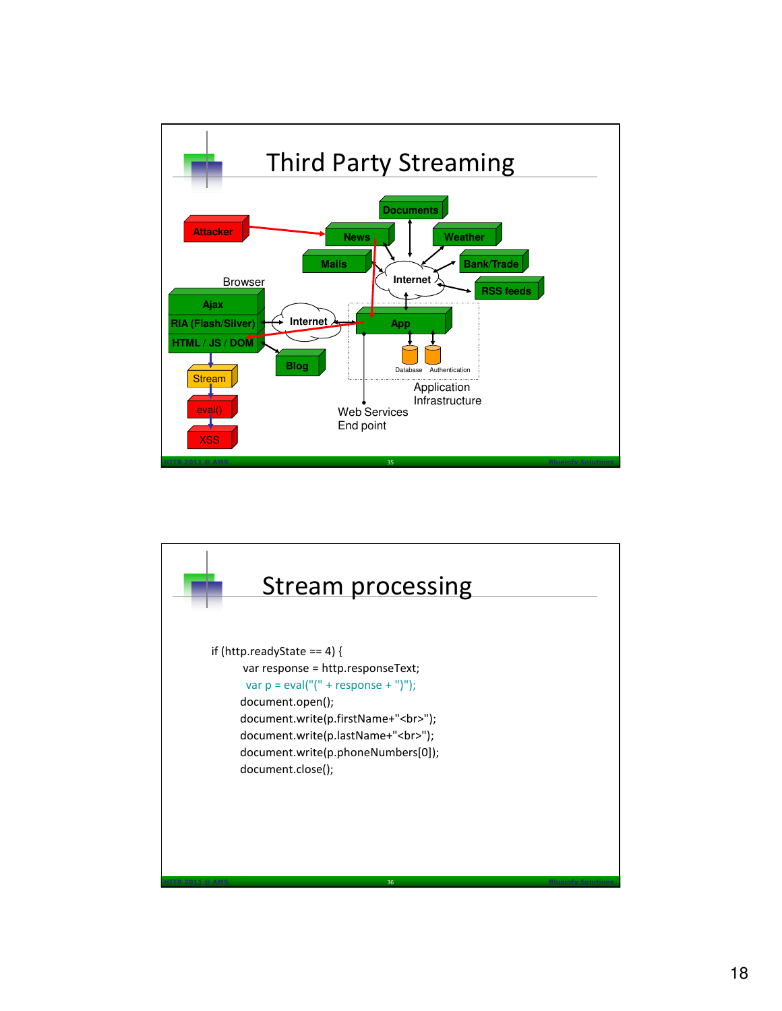

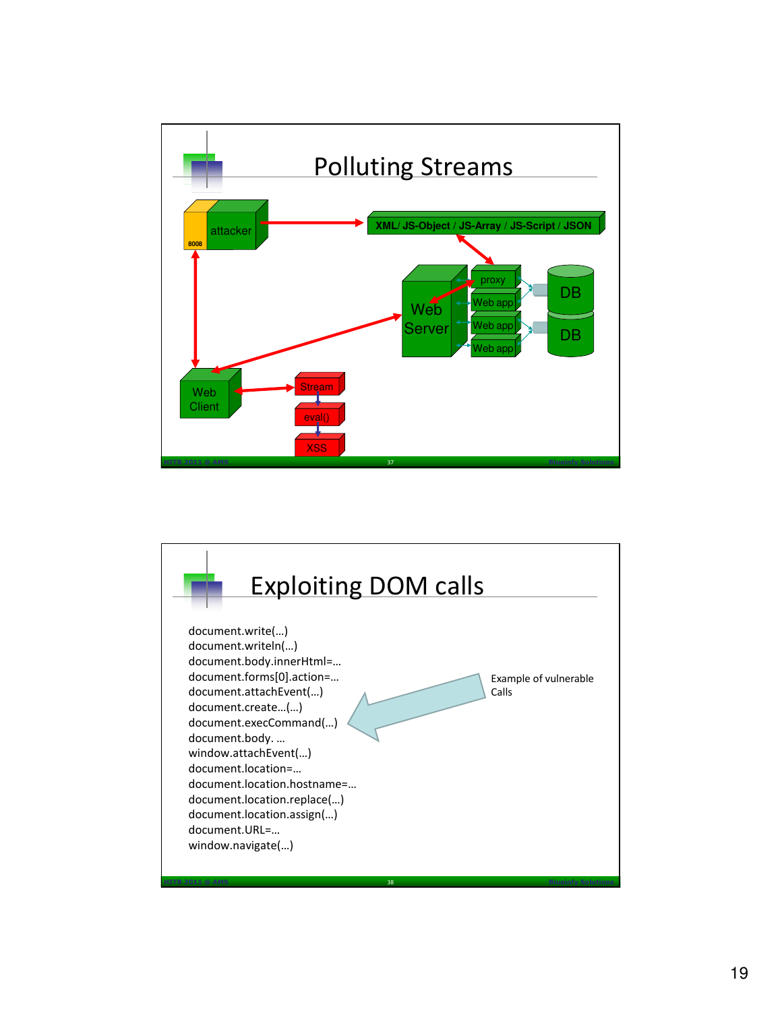

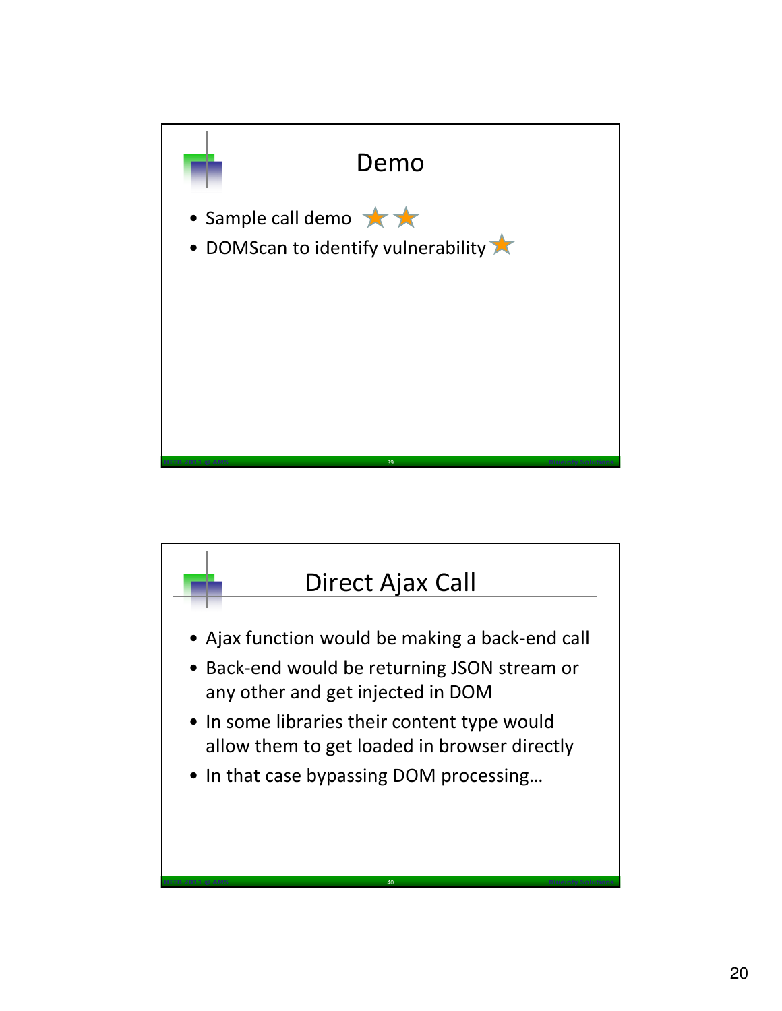

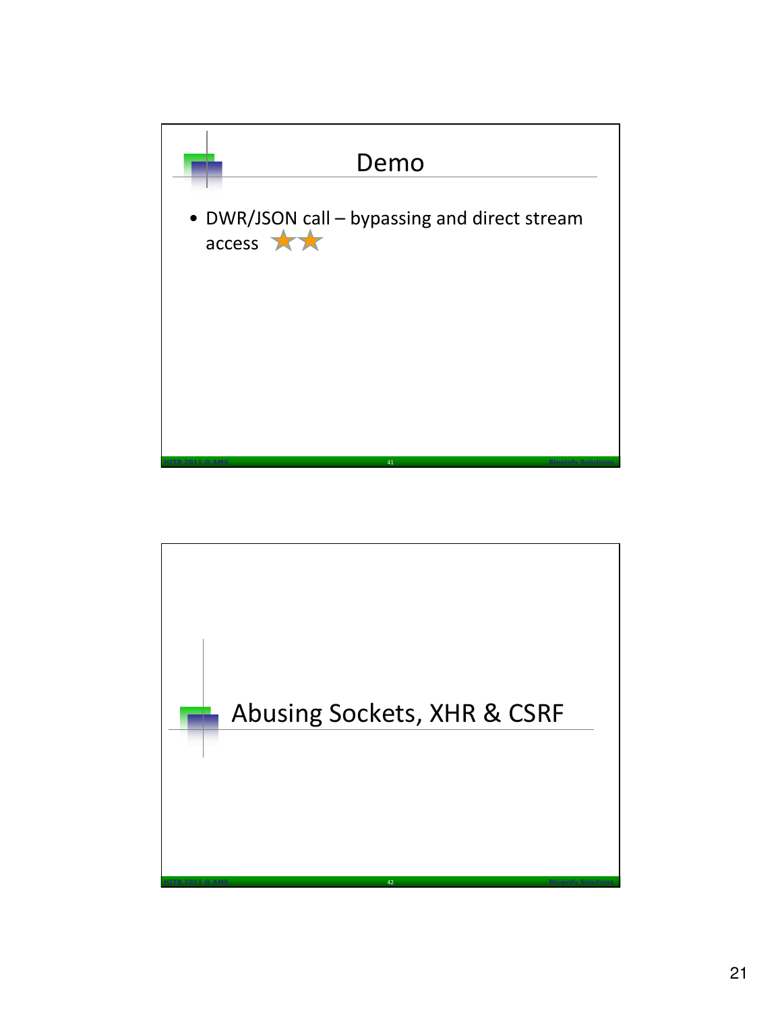

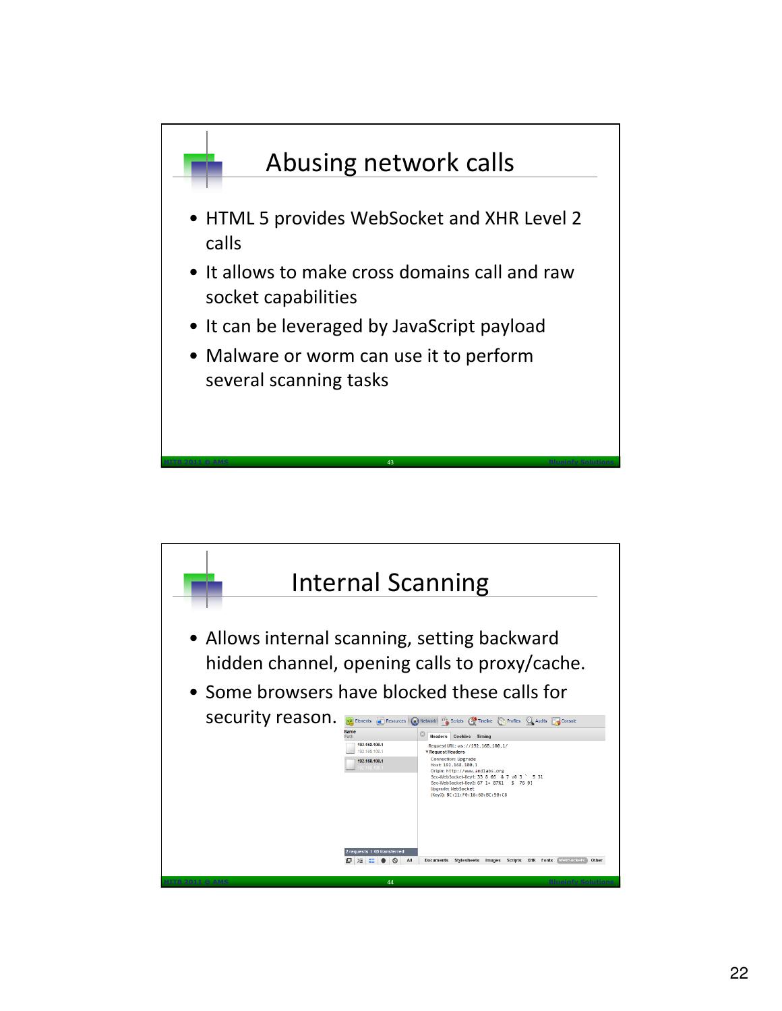

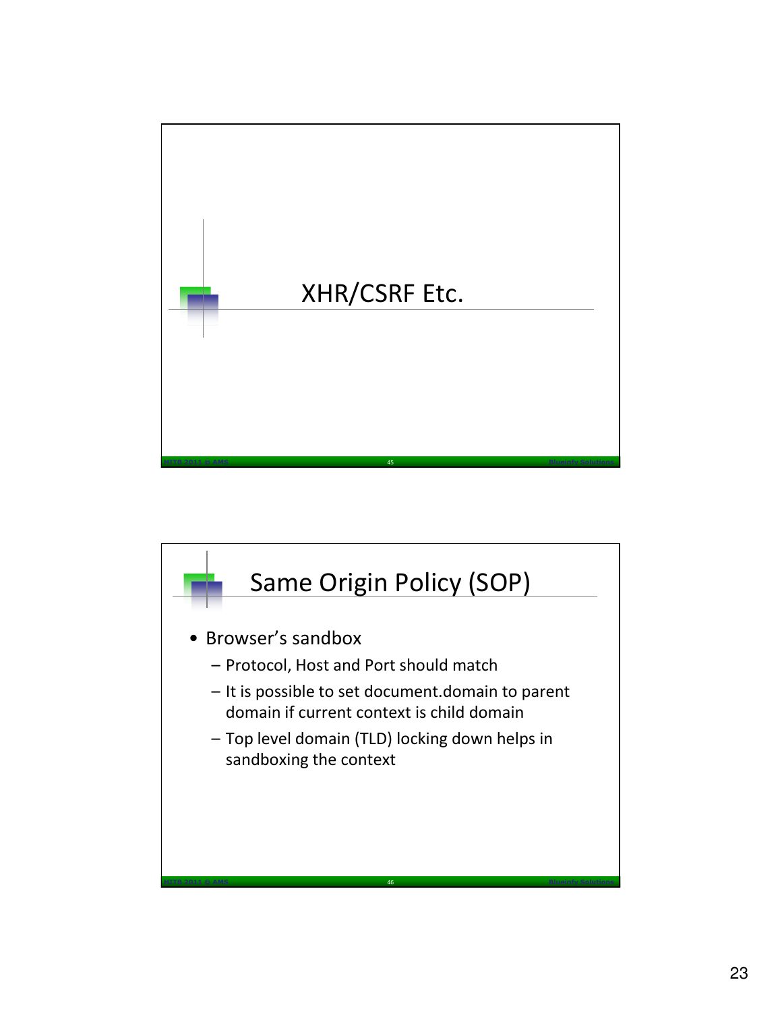

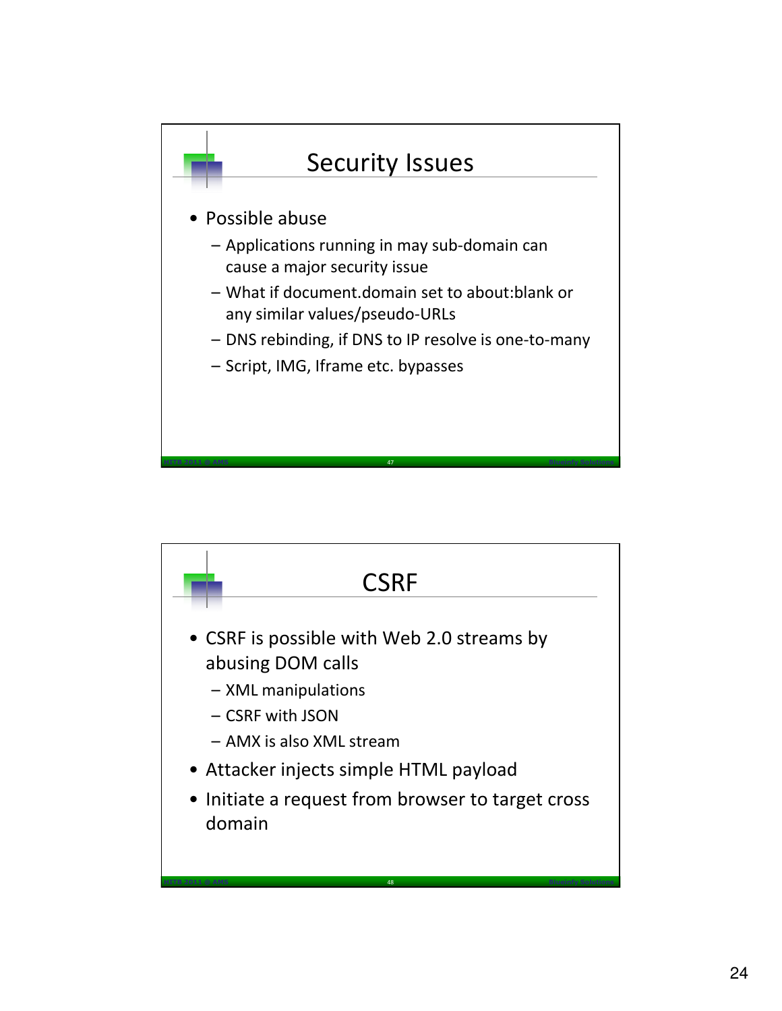

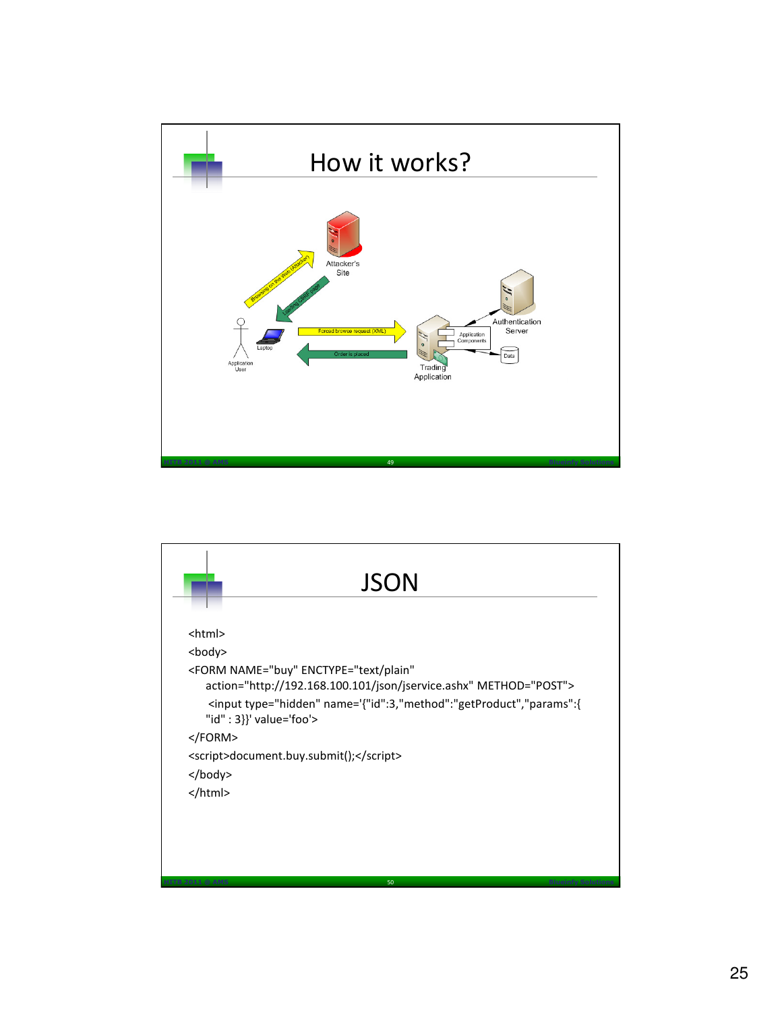

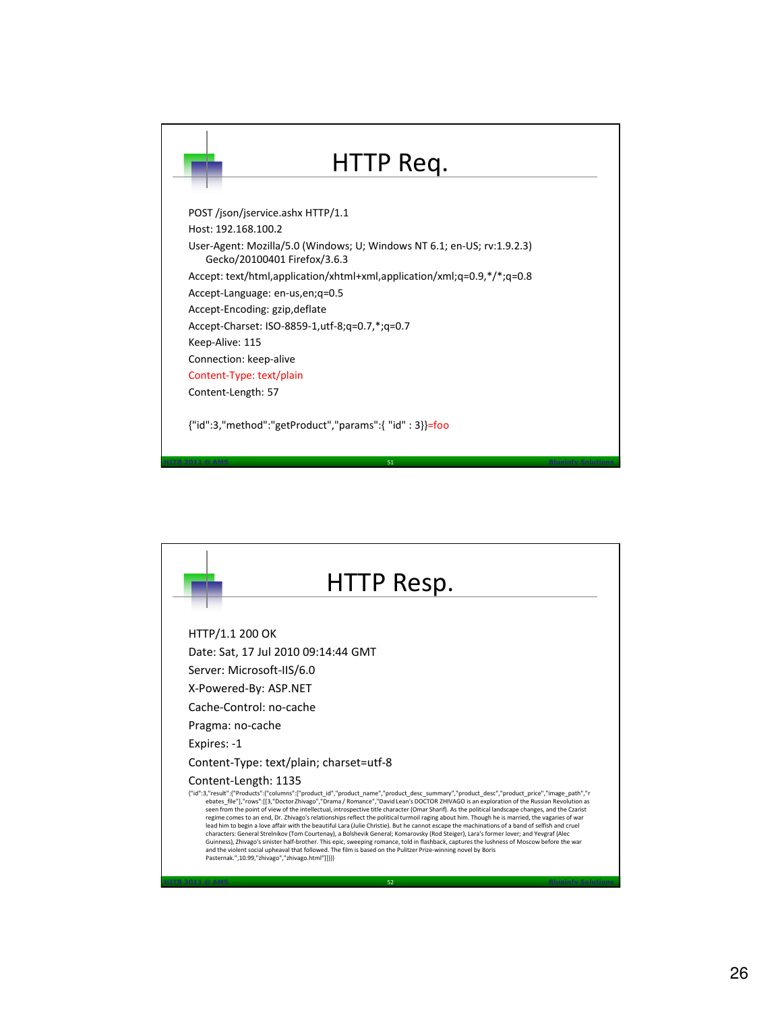

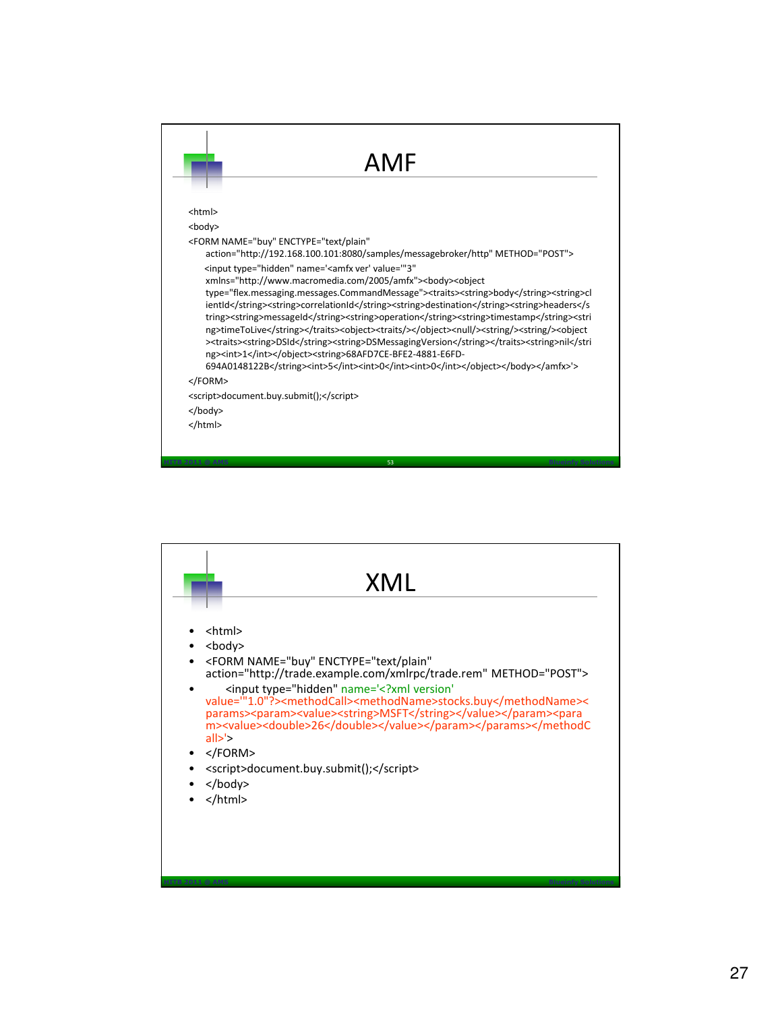

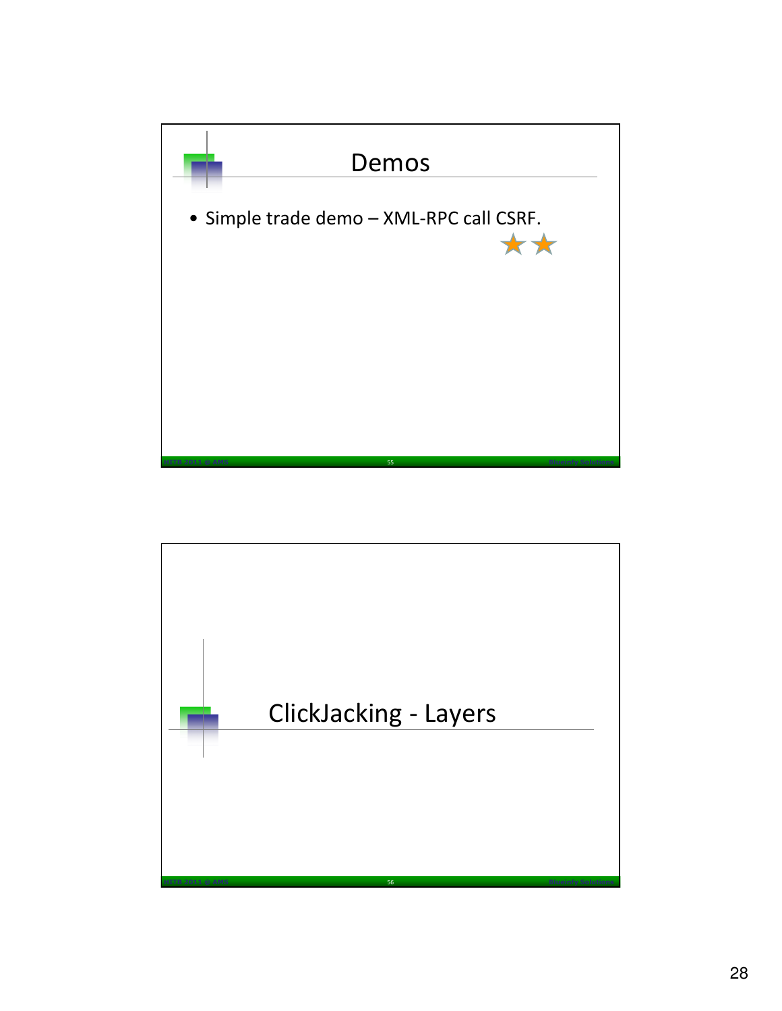

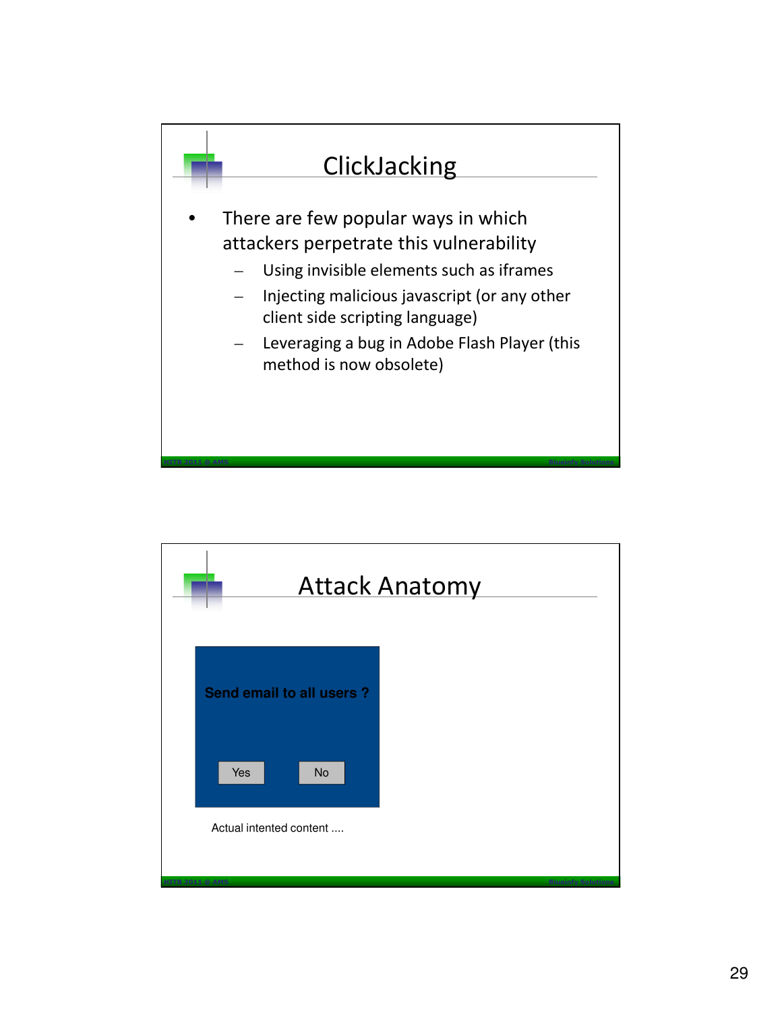

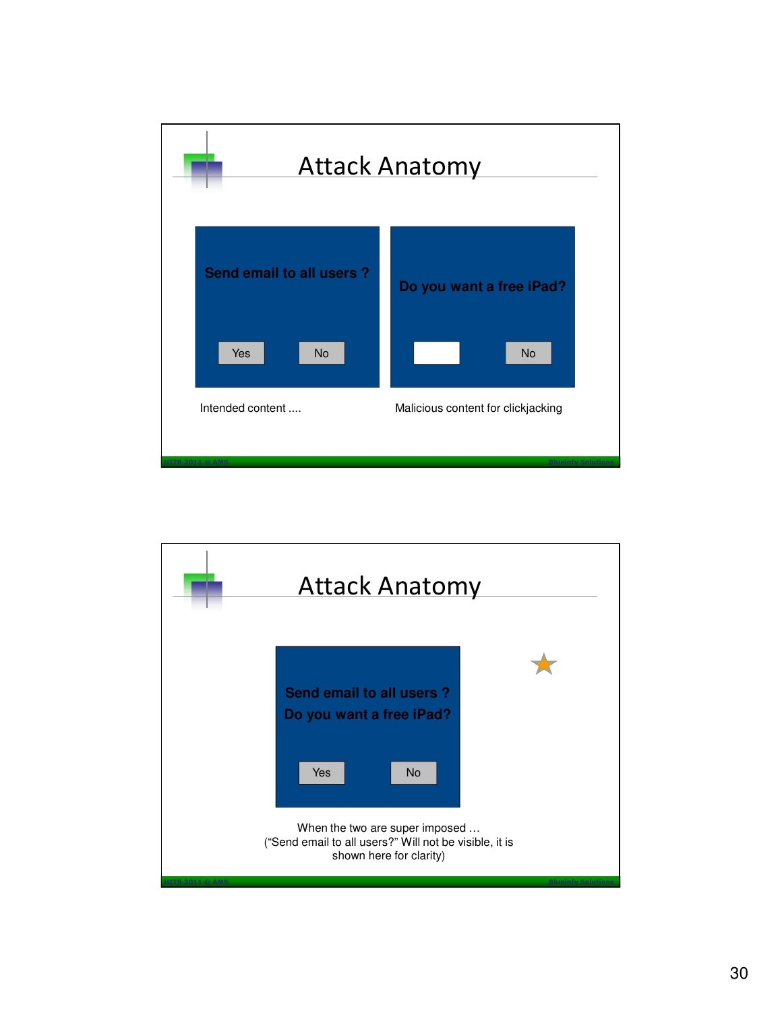

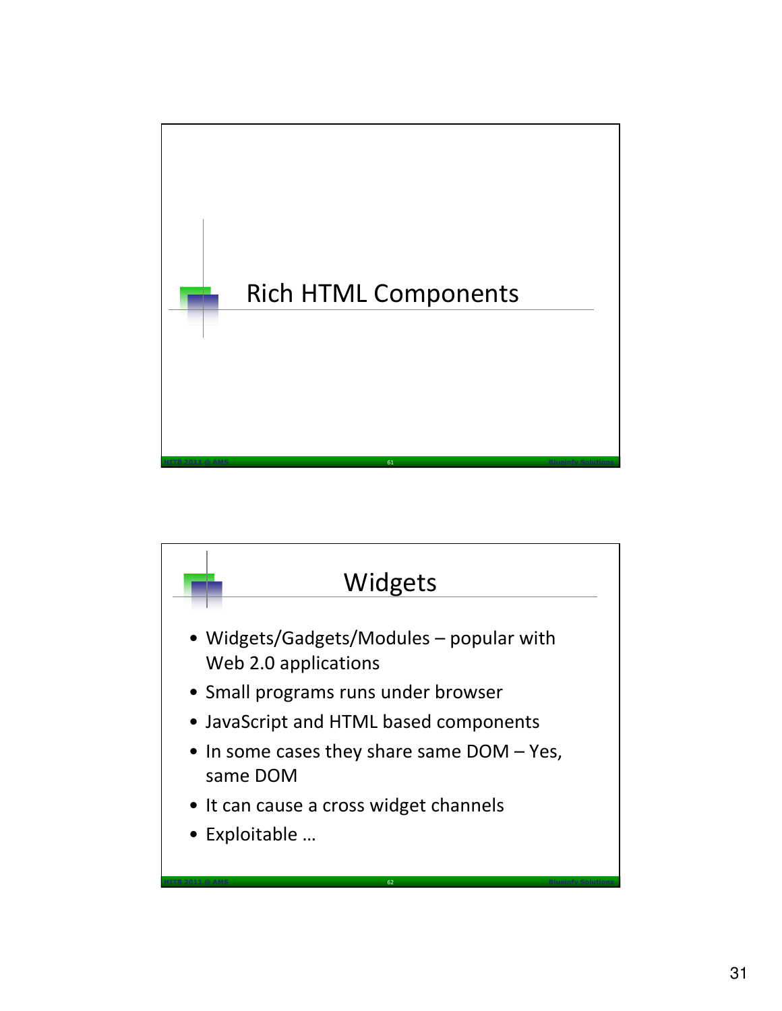

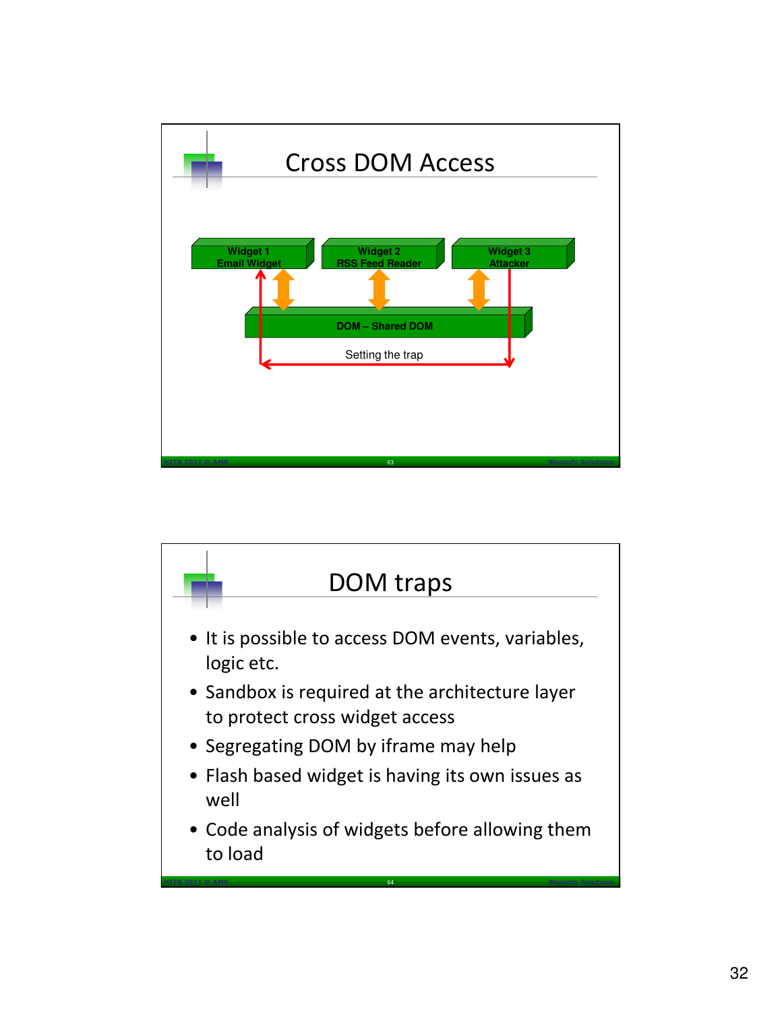

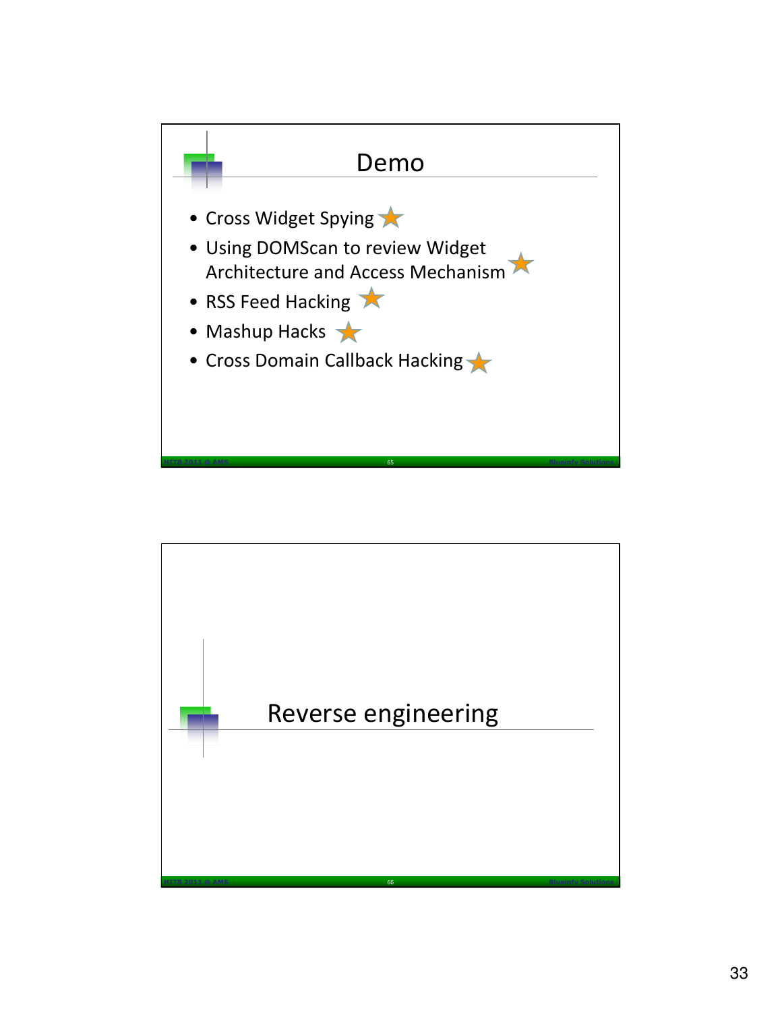

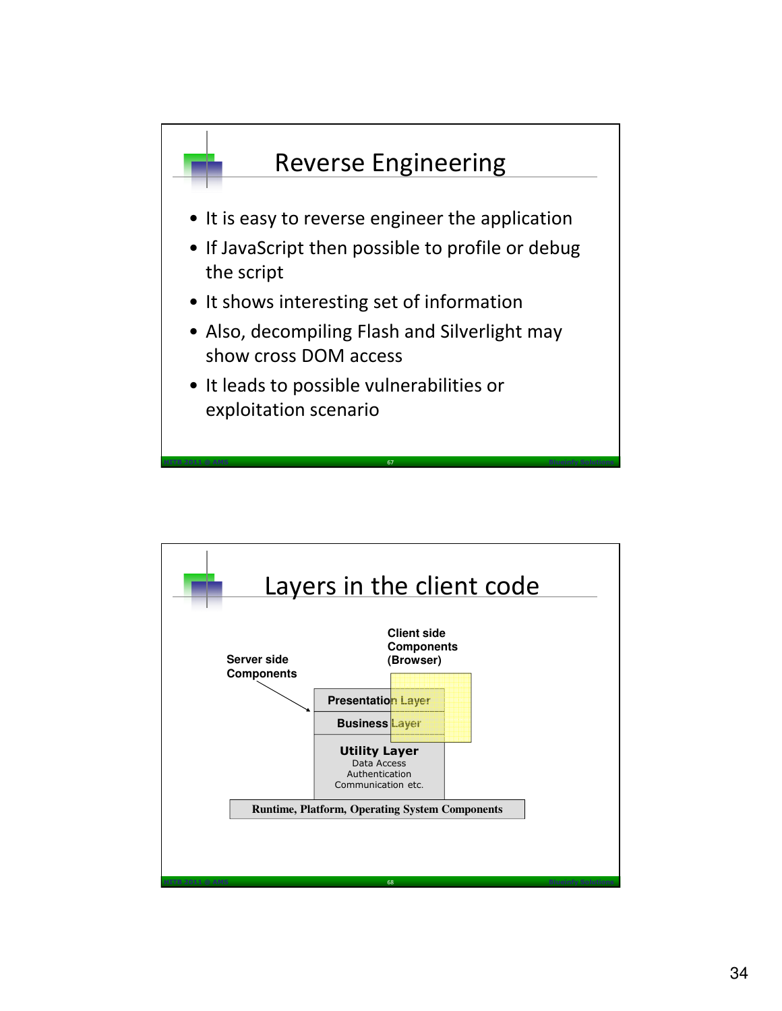

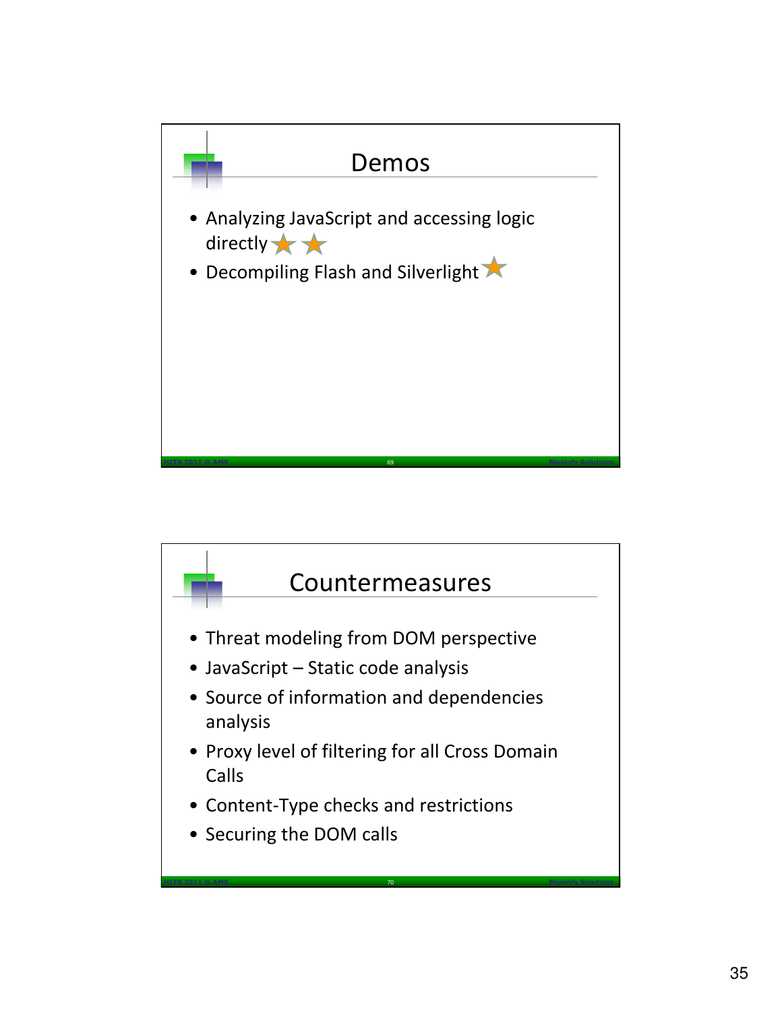